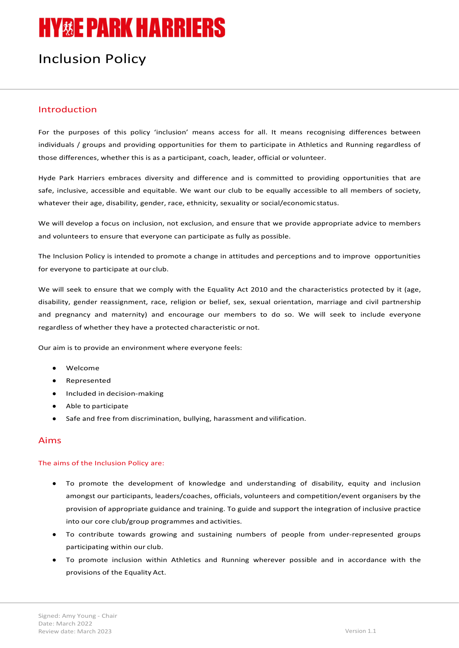# **HY&E PARK HARRIERS**

# Inclusion Policy

# Introduction

For the purposes of this policy 'inclusion' means access for all. It means recognising differences between individuals / groups and providing opportunities for them to participate in Athletics and Running regardless of those differences, whether this is as a participant, coach, leader, official or volunteer.

Hyde Park Harriers embraces diversity and difference and is committed to providing opportunities that are safe, inclusive, accessible and equitable. We want our club to be equally accessible to all members of society, whatever their age, disability, gender, race, ethnicity, sexuality or social/economic status.

We will develop a focus on inclusion, not exclusion, and ensure that we provide appropriate advice to members and volunteers to ensure that everyone can participate as fully as possible.

The Inclusion Policy is intended to promote a change in attitudes and perceptions and to improve opportunities for everyone to participate at our club.

We will seek to ensure that we comply with the Equality Act 2010 and the characteristics protected by it (age, disability, gender reassignment, race, religion or belief, sex, sexual orientation, marriage and civil partnership and pregnancy and maternity) and encourage our members to do so. We will seek to include everyone regardless of whether they have a protected characteristic or not.

Our aim is to provide an environment where everyone feels:

- Welcome
- Represented
- Included in decision-making
- Able to participate
- Safe and free from discrimination, bullying, harassment and vilification.

# Aims

#### The aims of the Inclusion Policy are:

- To promote the development of knowledge and understanding of disability, equity and inclusion amongst our participants, leaders/coaches, officials, volunteers and competition/event organisers by the provision of appropriate guidance and training. To guide and support the integration of inclusive practice into our core club/group programmes and activities.
- To contribute towards growing and sustaining numbers of people from under-represented groups participating within our club.
- To promote inclusion within Athletics and Running wherever possible and in accordance with the provisions of the Equality Act.